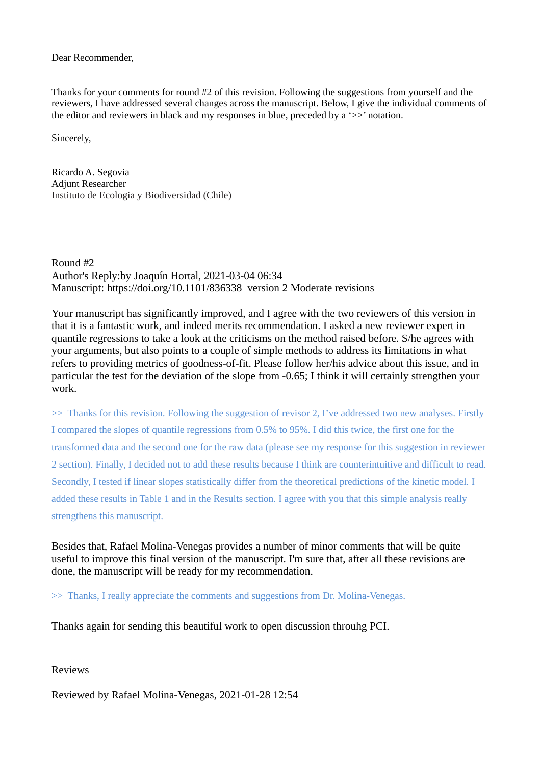Dear Recommender,

Thanks for your comments for round #2 of this revision. Following the suggestions from yourself and the reviewers, I have addressed several changes across the manuscript. Below, I give the individual comments of the editor and reviewers in black and my responses in blue, preceded by a '>>' notation.

Sincerely,

Ricardo A. Segovia Adjunt Researcher Instituto de Ecologia y Biodiversidad (Chile)

Round #2 Author's Reply:by Joaquín Hortal, 2021-03-04 06:34 Manuscript: https://doi.org/10.1101/836338 version 2 Moderate revisions

Your manuscript has significantly improved, and I agree with the two reviewers of this version in that it is a fantastic work, and indeed merits recommendation. I asked a new reviewer expert in quantile regressions to take a look at the criticisms on the method raised before. S/he agrees with your arguments, but also points to a couple of simple methods to address its limitations in what refers to providing metrics of goodness-of-fit. Please follow her/his advice about this issue, and in particular the test for the deviation of the slope from -0.65; I think it will certainly strengthen your work.

>> Thanks for this revision. Following the suggestion of revisor 2, I've addressed two new analyses. Firstly I compared the slopes of quantile regressions from 0.5% to 95%. I did this twice, the first one for the transformed data and the second one for the raw data (please see my response for this suggestion in reviewer 2 section). Finally, I decided not to add these results because I think are counterintuitive and difficult to read. Secondly, I tested if linear slopes statistically differ from the theoretical predictions of the kinetic model. I added these results in Table 1 and in the Results section. I agree with you that this simple analysis really strengthens this manuscript.

Besides that, Rafael Molina-Venegas provides a number of minor comments that will be quite useful to improve this final version of the manuscript. I'm sure that, after all these revisions are done, the manuscript will be ready for my recommendation.

>> Thanks, I really appreciate the comments and suggestions from Dr. Molina-Venegas.

Thanks again for sending this beautiful work to open discussion throuhg PCI.

Reviews

Reviewed by Rafael Molina-Venegas, 2021-01-28 12:54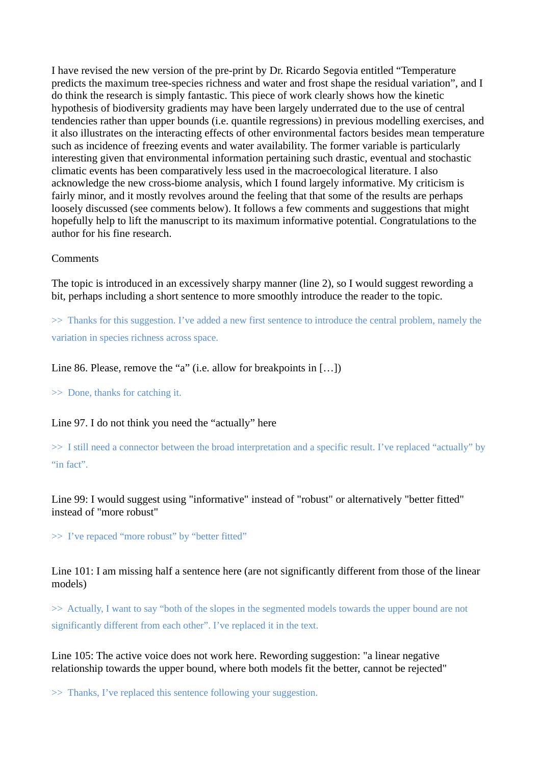I have revised the new version of the pre-print by Dr. Ricardo Segovia entitled "Temperature predicts the maximum tree-species richness and water and frost shape the residual variation", and I do think the research is simply fantastic. This piece of work clearly shows how the kinetic hypothesis of biodiversity gradients may have been largely underrated due to the use of central tendencies rather than upper bounds (i.e. quantile regressions) in previous modelling exercises, and it also illustrates on the interacting effects of other environmental factors besides mean temperature such as incidence of freezing events and water availability. The former variable is particularly interesting given that environmental information pertaining such drastic, eventual and stochastic climatic events has been comparatively less used in the macroecological literature. I also acknowledge the new cross-biome analysis, which I found largely informative. My criticism is fairly minor, and it mostly revolves around the feeling that that some of the results are perhaps loosely discussed (see comments below). It follows a few comments and suggestions that might hopefully help to lift the manuscript to its maximum informative potential. Congratulations to the author for his fine research.

#### Comments

The topic is introduced in an excessively sharpy manner (line 2), so I would suggest rewording a bit, perhaps including a short sentence to more smoothly introduce the reader to the topic.

>> Thanks for this suggestion. I've added a new first sentence to introduce the central problem, namely the variation in species richness across space.

Line 86. Please, remove the "a" (i.e. allow for breakpoints in [...])

>> Done, thanks for catching it.

Line 97. I do not think you need the "actually" here

>> I still need a connector between the broad interpretation and a specific result. I've replaced "actually" by "in fact".

Line 99: I would suggest using "informative" instead of "robust" or alternatively "better fitted" instead of "more robust"

>> I've repaced "more robust" by "better fitted"

Line 101: I am missing half a sentence here (are not significantly different from those of the linear models)

>> Actually, I want to say "both of the slopes in the segmented models towards the upper bound are not significantly different from each other". I've replaced it in the text.

Line 105: The active voice does not work here. Rewording suggestion: "a linear negative relationship towards the upper bound, where both models fit the better, cannot be rejected"

>> Thanks, I've replaced this sentence following your suggestion.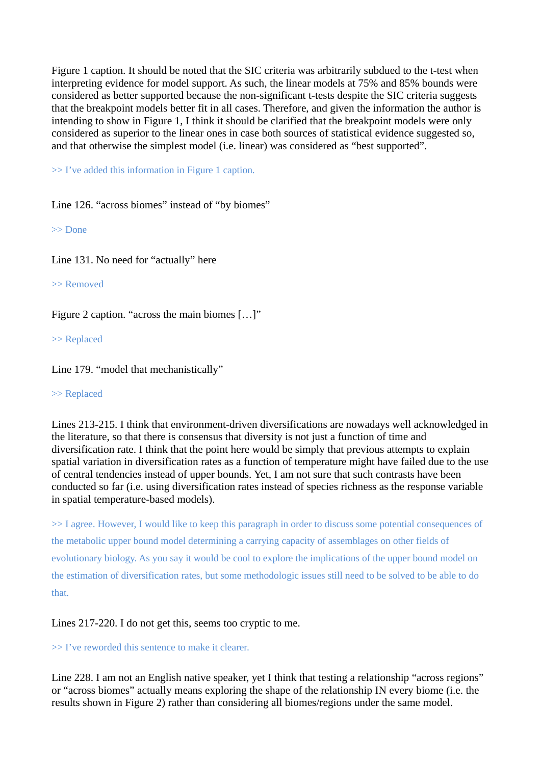Figure 1 caption. It should be noted that the SIC criteria was arbitrarily subdued to the t-test when interpreting evidence for model support. As such, the linear models at 75% and 85% bounds were considered as better supported because the non-significant t-tests despite the SIC criteria suggests that the breakpoint models better fit in all cases. Therefore, and given the information the author is intending to show in Figure 1, I think it should be clarified that the breakpoint models were only considered as superior to the linear ones in case both sources of statistical evidence suggested so, and that otherwise the simplest model (i.e. linear) was considered as "best supported".

>> I've added this information in Figure 1 caption.

Line 126. "across biomes" instead of "by biomes"

>> Done

Line 131. No need for "actually" here

>> Removed

Figure 2 caption. "across the main biomes […]"

>> Replaced

Line 179. "model that mechanistically"

#### >> Replaced

Lines 213-215. I think that environment-driven diversifications are nowadays well acknowledged in the literature, so that there is consensus that diversity is not just a function of time and diversification rate. I think that the point here would be simply that previous attempts to explain spatial variation in diversification rates as a function of temperature might have failed due to the use of central tendencies instead of upper bounds. Yet, I am not sure that such contrasts have been conducted so far (i.e. using diversification rates instead of species richness as the response variable in spatial temperature-based models).

>> I agree. However, I would like to keep this paragraph in order to discuss some potential consequences of the metabolic upper bound model determining a carrying capacity of assemblages on other fields of evolutionary biology. As you say it would be cool to explore the implications of the upper bound model on the estimation of diversification rates, but some methodologic issues still need to be solved to be able to do that.

# Lines 217-220. I do not get this, seems too cryptic to me.

# >> I've reworded this sentence to make it clearer.

Line 228. I am not an English native speaker, yet I think that testing a relationship "across regions" or "across biomes" actually means exploring the shape of the relationship IN every biome (i.e. the results shown in Figure 2) rather than considering all biomes/regions under the same model.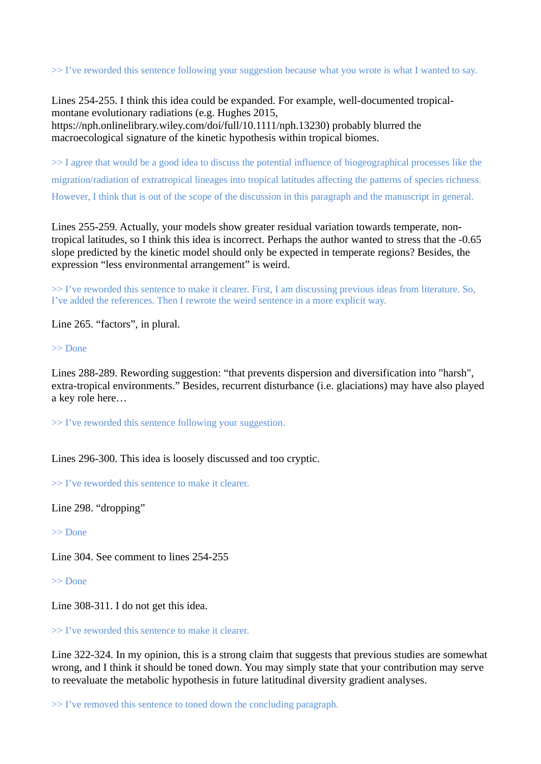>> I've reworded this sentence following your suggestion because what you wrote is what I wanted to say.

Lines 254-255. I think this idea could be expanded. For example, well-documented tropicalmontane evolutionary radiations (e.g. Hughes 2015, https://nph.onlinelibrary.wiley.com/doi/full/10.1111/nph.13230) probably blurred the macroecological signature of the kinetic hypothesis within tropical biomes.

>> I agree that would be a good idea to discuss the potential influence of biogeographical processes like the migration/radiation of extratropical lineages into tropical latitudes affecting the patterns of species richness. However, I think that is out of the scope of the discussion in this paragraph and the manuscript in general.

Lines 255-259. Actually, your models show greater residual variation towards temperate, nontropical latitudes, so I think this idea is incorrect. Perhaps the author wanted to stress that the -0.65 slope predicted by the kinetic model should only be expected in temperate regions? Besides, the expression "less environmental arrangement" is weird.

>> I've reworded this sentence to make it clearer. First, I am discussing previous ideas from literature. So, I've added the references. Then I rewrote the weird sentence in a more explicit way.

Line 265. "factors", in plural.

>> Done

Lines 288-289. Rewording suggestion: "that prevents dispersion and diversification into "harsh", extra-tropical environments." Besides, recurrent disturbance (i.e. glaciations) may have also played a key role here…

>> I've reworded this sentence following your suggestion.

Lines 296-300. This idea is loosely discussed and too cryptic.

>> I've reworded this sentence to make it clearer.

Line 298. "dropping"

>> Done

Line 304. See comment to lines 254-255

>> Done

Line 308-311. I do not get this idea.

>> I've reworded this sentence to make it clearer.

Line 322-324. In my opinion, this is a strong claim that suggests that previous studies are somewhat wrong, and I think it should be toned down. You may simply state that your contribution may serve to reevaluate the metabolic hypothesis in future latitudinal diversity gradient analyses.

>> I've removed this sentence to toned down the concluding paragraph.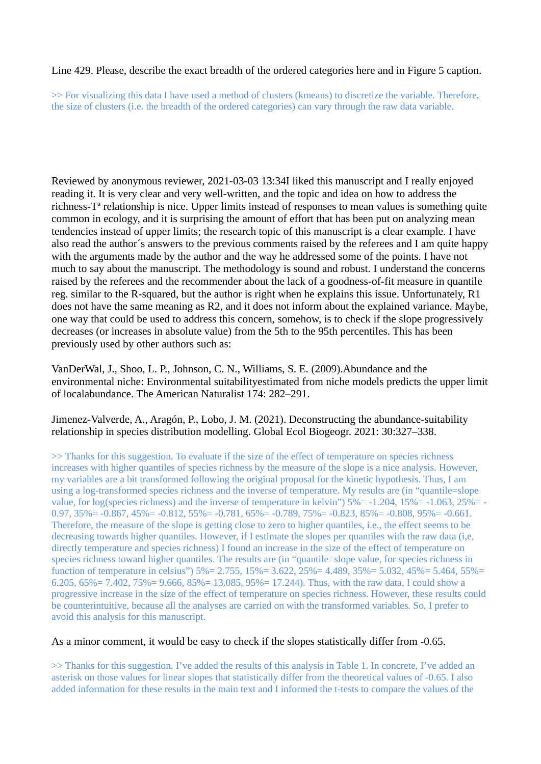# Line 429. Please, describe the exact breadth of the ordered categories here and in Figure 5 caption.

>> For visualizing this data I have used a method of clusters (kmeans) to discretize the variable. Therefore, the size of clusters (i.e. the breadth of the ordered categories) can vary through the raw data variable.

Reviewed by anonymous reviewer, 2021-03-03 13:34I liked this manuscript and I really enjoyed reading it. It is very clear and very well-written, and the topic and idea on how to address the richness-Tª relationship is nice. Upper limits instead of responses to mean values is something quite common in ecology, and it is surprising the amount of effort that has been put on analyzing mean tendencies instead of upper limits; the research topic of this manuscript is a clear example. I have also read the author´s answers to the previous comments raised by the referees and I am quite happy with the arguments made by the author and the way he addressed some of the points. I have not much to say about the manuscript. The methodology is sound and robust. I understand the concerns raised by the referees and the recommender about the lack of a goodness-of-fit measure in quantile reg. similar to the R-squared, but the author is right when he explains this issue. Unfortunately, R1 does not have the same meaning as R2, and it does not inform about the explained variance. Maybe, one way that could be used to address this concern, somehow, is to check if the slope progressively decreases (or increases in absolute value) from the 5th to the 95th percentiles. This has been previously used by other authors such as:

VanDerWal, J., Shoo, L. P., Johnson, C. N., Williams, S. E. (2009).Abundance and the environmental niche: Environmental suitabilityestimated from niche models predicts the upper limit of localabundance. The American Naturalist 174: 282–291.

Jimenez-Valverde, A., Aragón, P., Lobo, J. M. (2021). Deconstructing the abundance-suitability relationship in species distribution modelling. Global Ecol Biogeogr. 2021: 30:327–338.

>> Thanks for this suggestion. To evaluate if the size of the effect of temperature on species richness increases with higher quantiles of species richness by the measure of the slope is a nice analysis. However, my variables are a bit transformed following the original proposal for the kinetic hypothesis. Thus, I am using a log-transformed species richness and the inverse of temperature. My results are (in "quantile=slope value, for log(species richness) and the inverse of temperature in kelvin") 5%= -1.204, 15%= -1.063, 25%= - 0.97,  $35\% = -0.867$ ,  $45\% = -0.812$ ,  $55\% = -0.781$ ,  $65\% = -0.789$ ,  $75\% = -0.823$ ,  $85\% = -0.808$ ,  $95\% = -0.661$ . Therefore, the measure of the slope is getting close to zero to higher quantiles, i.e., the effect seems to be decreasing towards higher quantiles. However, if I estimate the slopes per quantiles with the raw data (i,e, directly temperature and species richness) I found an increase in the size of the effect of temperature on species richness toward higher quantiles. The results are (in "quantile=slope value, for species richness in function of temperature in celsius") 5%= 2.755, 15%= 3.622, 25%= 4.489, 35%= 5.032, 45%= 5.464, 55%= 6.205, 65%= 7.402, 75%= 9.666, 85%= 13.085, 95%= 17.244). Thus, with the raw data, I could show a progressive increase in the size of the effect of temperature on species richness. However, these results could be counterintuitive, because all the analyses are carried on with the transformed variables. So, I prefer to avoid this analysis for this manuscript.

# As a minor comment, it would be easy to check if the slopes statistically differ from -0.65.

>> Thanks for this suggestion. I've added the results of this analysis in Table 1. In concrete, I've added an asterisk on those values for linear slopes that statistically differ from the theoretical values of -0.65. I also added information for these results in the main text and I informed the t-tests to compare the values of the